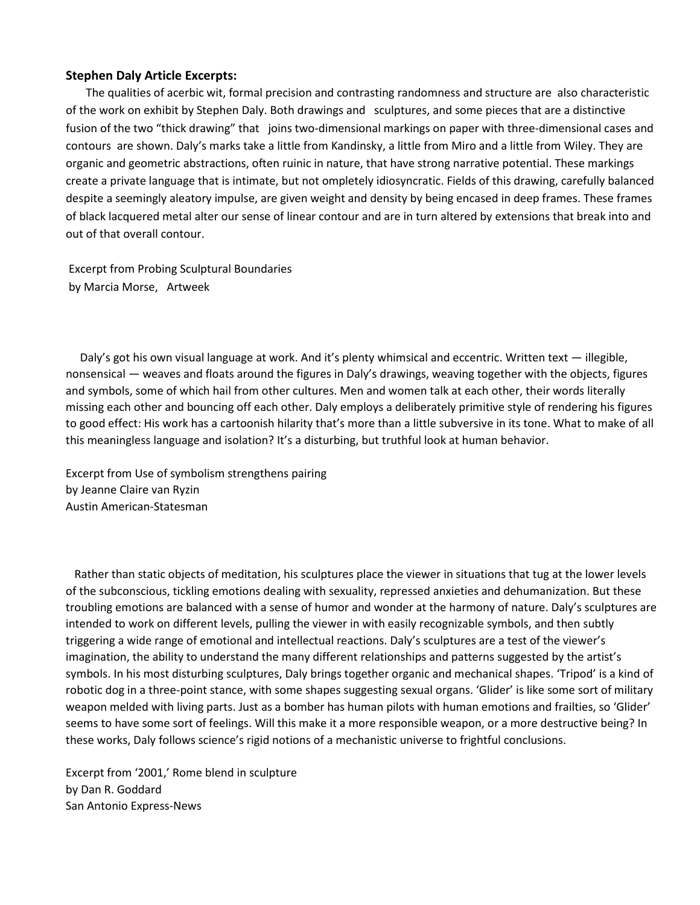## **Stephen Daly Article Excerpts:**

 The qualities of acerbic wit, formal precision and contrasting randomness and structure are also characteristic of the work on exhibit by Stephen Daly. Both drawings and sculptures, and some pieces that are a distinctive fusion of the two "thick drawing" that joins two-dimensional markings on paper with three-dimensional cases and contours are shown. Daly's marks take a little from Kandinsky, a little from Miro and a little from Wiley. They are organic and geometric abstractions, often ruinic in nature, that have strong narrative potential. These markings create a private language that is intimate, but not ompletely idiosyncratic. Fields of this drawing, carefully balanced despite a seemingly aleatory impulse, are given weight and density by being encased in deep frames. These frames of black lacquered metal alter our sense of linear contour and are in turn altered by extensions that break into and out of that overall contour.

Excerpt from Probing Sculptural Boundaries by Marcia Morse, Artweek

 Daly's got his own visual language at work. And it's plenty whimsical and eccentric. Written text — illegible, nonsensical — weaves and floats around the figures in Daly's drawings, weaving together with the objects, figures and symbols, some of which hail from other cultures. Men and women talk at each other, their words literally missing each other and bouncing off each other. Daly employs a deliberately primitive style of rendering his figures to good effect: His work has a cartoonish hilarity that's more than a little subversive in its tone. What to make of all this meaningless language and isolation? It's a disturbing, but truthful look at human behavior.

Excerpt from Use of symbolism strengthens pairing by Jeanne Claire van Ryzin Austin American-Statesman

 Rather than static objects of meditation, his sculptures place the viewer in situations that tug at the lower levels of the subconscious, tickling emotions dealing with sexuality, repressed anxieties and dehumanization. But these troubling emotions are balanced with a sense of humor and wonder at the harmony of nature. Daly's sculptures are intended to work on different levels, pulling the viewer in with easily recognizable symbols, and then subtly triggering a wide range of emotional and intellectual reactions. Daly's sculptures are a test of the viewer's imagination, the ability to understand the many different relationships and patterns suggested by the artist's symbols. In his most disturbing sculptures, Daly brings together organic and mechanical shapes. 'Tripod' is a kind of robotic dog in a three-point stance, with some shapes suggesting sexual organs. 'Glider' is like some sort of military weapon melded with living parts. Just as a bomber has human pilots with human emotions and frailties, so 'Glider' seems to have some sort of feelings. Will this make it a more responsible weapon, or a more destructive being? In these works, Daly follows science's rigid notions of a mechanistic universe to frightful conclusions.

Excerpt from '2001,' Rome blend in sculpture by Dan R. Goddard San Antonio Express-News